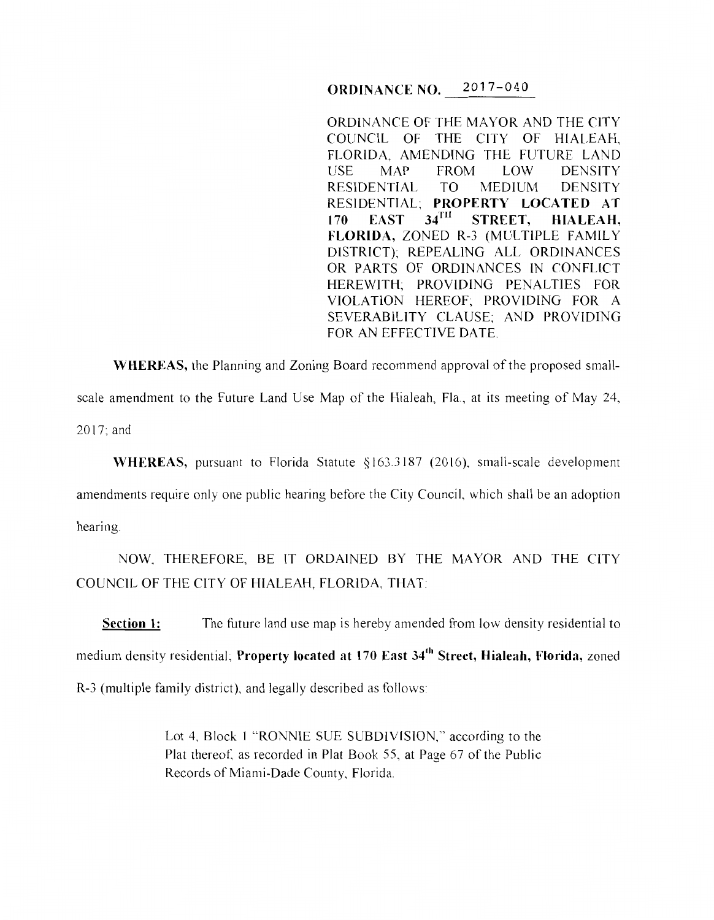ORDINANCE NO. 2017-040

ORDINANCE OF THE MAYOR AND THE CITY COUNCIL OF THE CITY OF HIALEAH, FLORIDA, AMENDING THE FUTURE LAND USE MAP FROM LOW DENSITY RESIDENTIAL TO MEDIUM DENSITY RESIDENTIAL; PROPERTY LOCATED AT 170 EAST 34TH STREET. HIALEAH.  $170$  EAST  $34$ <sup>TH</sup> STREET, HIALEAH, FLORIDA, ZONED R-3 (MULTIPLE FAMILY DISTRICT); REPEALING ALL ORDINANCES OR PARTS OF ORDINANCES IN CONFLICT HEREWITH; PROVIDING PENALTIES FOR VIOLATION HEREOF; PROVIDING FOR A SEVERABILITY CLAUSE; AND PROVIDING FOR AN EFFECTIVE DATE.

WHEREAS, the Planning and Zoning Board recommend approval of the proposed smallscale amendment to the Future Land Use Map of the Hialeah, Fla., at its meeting of May 24, 2017;and

WHEREAS, pursuant to Florida Statute §163.3187 (2016), small-scale development amendments require only one public hearing before the City Council, which shall be an adoption hearing.

NOW, THEREFORE, BE IT ORDAINED BY THE MAYOR AND THE CITY COUNCIL OF THE CITY OF HIALEAH, FLORIDA, THAT

Section 1: The future land use map is hereby amended from low density residential to medium density residential; Property located at 170 East 34<sup>th</sup> Street, Hialeah, Florida, zoned R-3 (multiple family district), and legally described as follows

> Lot 4, Block 1 "RONNIE SUE SUBDIVISION," according to the Plat thereof, as recorded in Plat Book 55, at Page 67 of the Public Records of Miami-Dade County, Florida.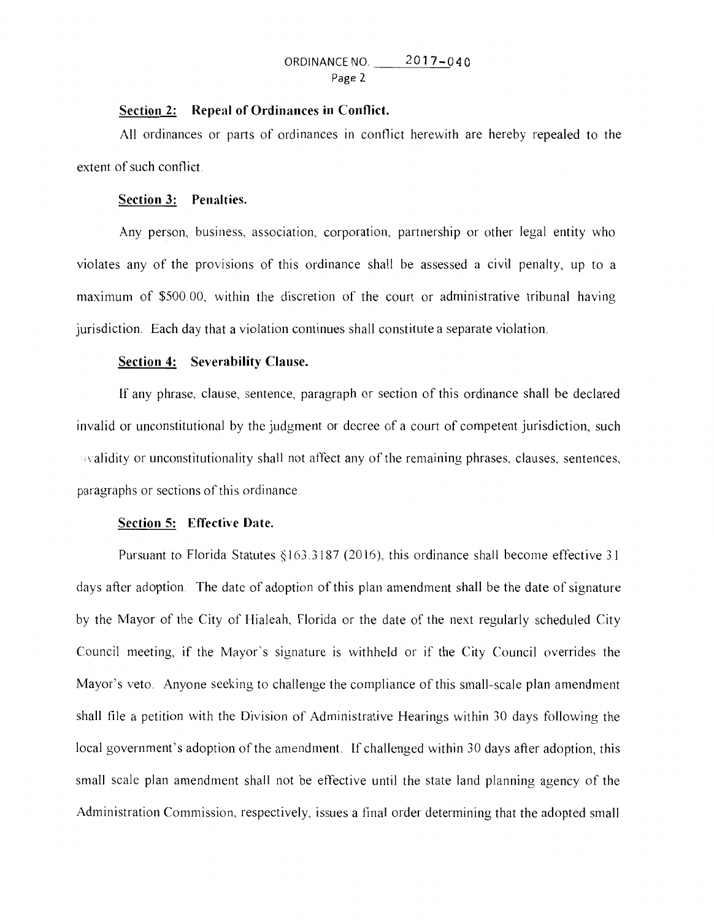# ORDINANCE NO. 2017-040 Page 2

## **Section 2: Repeal of Ordinances in Conflict.**

All ordinances or parts of ordinances in conflict herewith are hereby repealed to the extent of such conflict

## **Section 3: Penalties.**

Any person, business, association, corporation, partnership or other legal entity who violates any of the provisions of this ordinance shall be assessed a civil penalty, up to a maximum of \$500.00, within the discretion of the court or administrative tribunal having jurisdiction. Each day that a violation continues shall constitute a separate violation.

## **Section 4: Severability Clause.**

If any phrase, clause, sentence, paragraph or section of this ordinance shall be declared invalid or unconstitutional by the judgment or decree of a court of competent jurisdiction, such  $\alpha$  validity or unconstitutionality shall not affect any of the remaining phrases, clauses, sentences, paragraphs or sections of this ordinance.

#### **Section 5: Effective Date.**

Pursuant to Florida Statutes  $§163.3187$  (2016), this ordinance shall become effective 31 days after adoption. The date of adoption of this plan amendment shall be the date of signature by the Mayor of the City of Hialeah, Florida or the date of the next regularly scheduled City Council meeting, if the Mayor's signature is withheld or if the City Council overrides the Mayor's veto. Anyone seeking to challenge the compliance of this small-scale plan amendment shall file a petition with the Division of Administrative Hearings within 30 days following the local government's adoption of the amendment. If challenged within 30 days after adoption, this small scale plan amendment shall not be effective until the state land planning agency of the Administration Commission, respectively, issues a final order determining that the adopted small